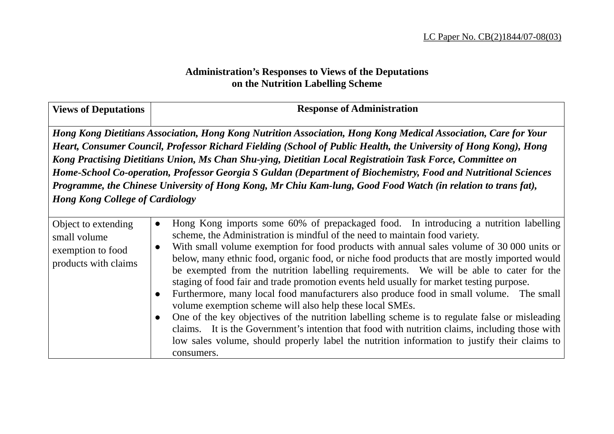## **Administration's Responses to Views of the Deputations on the Nutrition Labelling Scheme**

| <b>Views of Deputations</b>                                                      | <b>Response of Administration</b>                                                                                                                                                                                                                                                                                                                                                                                                                                                                                                                                                                                                                                                                                                                                                                                                                                                                                                                                                                                                                          |
|----------------------------------------------------------------------------------|------------------------------------------------------------------------------------------------------------------------------------------------------------------------------------------------------------------------------------------------------------------------------------------------------------------------------------------------------------------------------------------------------------------------------------------------------------------------------------------------------------------------------------------------------------------------------------------------------------------------------------------------------------------------------------------------------------------------------------------------------------------------------------------------------------------------------------------------------------------------------------------------------------------------------------------------------------------------------------------------------------------------------------------------------------|
| <b>Hong Kong College of Cardiology</b>                                           | Hong Kong Dietitians Association, Hong Kong Nutrition Association, Hong Kong Medical Association, Care for Your<br>Heart, Consumer Council, Professor Richard Fielding (School of Public Health, the University of Hong Kong), Hong<br>Kong Practising Dietitians Union, Ms Chan Shu-ying, Dietitian Local Registratioin Task Force, Committee on<br>Home-School Co-operation, Professor Georgia S Guldan (Department of Biochemistry, Food and Nutritional Sciences<br>Programme, the Chinese University of Hong Kong, Mr Chiu Kam-lung, Good Food Watch (in relation to trans fat),                                                                                                                                                                                                                                                                                                                                                                                                                                                                      |
| Object to extending<br>small volume<br>exemption to food<br>products with claims | Hong Kong imports some 60% of prepackaged food. In introducing a nutrition labelling<br>$\bullet$<br>scheme, the Administration is mindful of the need to maintain food variety.<br>With small volume exemption for food products with annual sales volume of 30 000 units or<br>$\bullet$<br>below, many ethnic food, organic food, or niche food products that are mostly imported would<br>be exempted from the nutrition labelling requirements. We will be able to cater for the<br>staging of food fair and trade promotion events held usually for market testing purpose.<br>Furthermore, many local food manufacturers also produce food in small volume. The small<br>volume exemption scheme will also help these local SMEs.<br>One of the key objectives of the nutrition labelling scheme is to regulate false or misleading<br>claims. It is the Government's intention that food with nutrition claims, including those with<br>low sales volume, should properly label the nutrition information to justify their claims to<br>consumers. |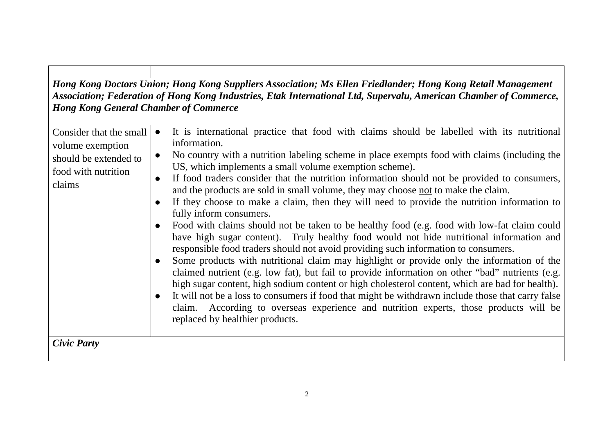*Hong Kong Doctors Union; Hong Kong Suppliers Association; Ms Ellen Friedlander; Hong Kong Retail Management Association; Federation of Hong Kong Industries, Etak International Ltd, Supervalu, American Chamber of Commerce, Hong Kong General Chamber of Commerce* 

| Consider that the small<br>volume exemption<br>should be extended to<br>food with nutrition<br>claims | It is international practice that food with claims should be labelled with its nutritional<br>information.<br>No country with a nutrition labeling scheme in place exempts food with claims (including the<br>$\bullet$<br>US, which implements a small volume exemption scheme).<br>If food traders consider that the nutrition information should not be provided to consumers,<br>$\bullet$<br>and the products are sold in small volume, they may choose not to make the claim.<br>If they choose to make a claim, then they will need to provide the nutrition information to<br>fully inform consumers.<br>Food with claims should not be taken to be healthy food (e.g. food with low-fat claim could<br>have high sugar content). Truly healthy food would not hide nutritional information and<br>responsible food traders should not avoid providing such information to consumers.<br>Some products with nutritional claim may highlight or provide only the information of the<br>claimed nutrient (e.g. low fat), but fail to provide information on other "bad" nutrients (e.g.<br>high sugar content, high sodium content or high cholesterol content, which are bad for health).<br>It will not be a loss to consumers if food that might be withdrawn include those that carry false<br>claim. According to overseas experience and nutrition experts, those products will be<br>replaced by healthier products. |
|-------------------------------------------------------------------------------------------------------|-----------------------------------------------------------------------------------------------------------------------------------------------------------------------------------------------------------------------------------------------------------------------------------------------------------------------------------------------------------------------------------------------------------------------------------------------------------------------------------------------------------------------------------------------------------------------------------------------------------------------------------------------------------------------------------------------------------------------------------------------------------------------------------------------------------------------------------------------------------------------------------------------------------------------------------------------------------------------------------------------------------------------------------------------------------------------------------------------------------------------------------------------------------------------------------------------------------------------------------------------------------------------------------------------------------------------------------------------------------------------------------------------------------------------------------|
| <b>Civic Party</b>                                                                                    |                                                                                                                                                                                                                                                                                                                                                                                                                                                                                                                                                                                                                                                                                                                                                                                                                                                                                                                                                                                                                                                                                                                                                                                                                                                                                                                                                                                                                                   |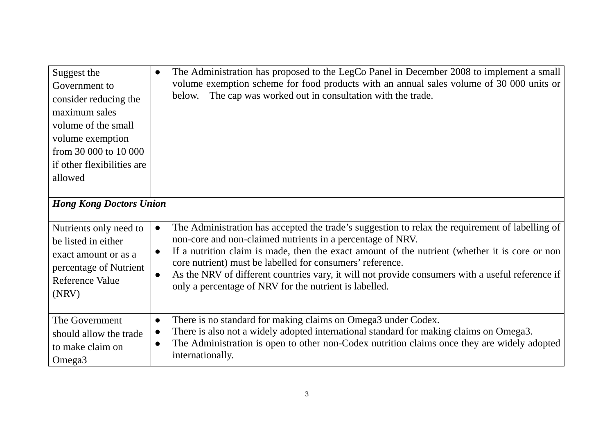| Suggest the<br>Government to<br>consider reducing the<br>maximum sales<br>volume of the small<br>volume exemption<br>from 30 000 to 10 000<br>if other flexibilities are<br>allowed | The Administration has proposed to the LegCo Panel in December 2008 to implement a small<br>$\bullet$<br>volume exemption scheme for food products with an annual sales volume of 30 000 units or<br>The cap was worked out in consultation with the trade.<br>below.                                                                                                                                                                                                                                                |
|-------------------------------------------------------------------------------------------------------------------------------------------------------------------------------------|----------------------------------------------------------------------------------------------------------------------------------------------------------------------------------------------------------------------------------------------------------------------------------------------------------------------------------------------------------------------------------------------------------------------------------------------------------------------------------------------------------------------|
| <b>Hong Kong Doctors Union</b>                                                                                                                                                      |                                                                                                                                                                                                                                                                                                                                                                                                                                                                                                                      |
| Nutrients only need to<br>be listed in either<br>exact amount or as a<br>percentage of Nutrient<br><b>Reference Value</b><br>(NRV)                                                  | The Administration has accepted the trade's suggestion to relax the requirement of labelling of<br>$\bullet$<br>non-core and non-claimed nutrients in a percentage of NRV.<br>If a nutrition claim is made, then the exact amount of the nutrient (whether it is core or non<br>$\bullet$<br>core nutrient) must be labelled for consumers' reference.<br>As the NRV of different countries vary, it will not provide consumers with a useful reference if<br>only a percentage of NRV for the nutrient is labelled. |
| The Government<br>should allow the trade<br>to make claim on<br>Omega <sub>3</sub>                                                                                                  | There is no standard for making claims on Omega3 under Codex.<br>$\bullet$<br>There is also not a widely adopted international standard for making claims on Omega3.<br>$\bullet$<br>The Administration is open to other non-Codex nutrition claims once they are widely adopted<br>$\bullet$<br>internationally.                                                                                                                                                                                                    |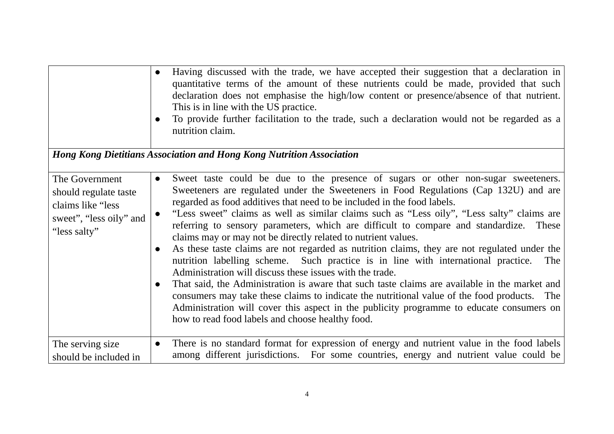|                                                                                                          | Having discussed with the trade, we have accepted their suggestion that a declaration in<br>$\bullet$<br>quantitative terms of the amount of these nutrients could be made, provided that such<br>declaration does not emphasise the high/low content or presence/absence of that nutrient.<br>This is in line with the US practice.<br>To provide further facilitation to the trade, such a declaration would not be regarded as a<br>$\bullet$<br>nutrition claim.                                                                                                                                                                                                                                                                                                                                                                                                                                                                                                                                                                                                                                                                                                      |
|----------------------------------------------------------------------------------------------------------|---------------------------------------------------------------------------------------------------------------------------------------------------------------------------------------------------------------------------------------------------------------------------------------------------------------------------------------------------------------------------------------------------------------------------------------------------------------------------------------------------------------------------------------------------------------------------------------------------------------------------------------------------------------------------------------------------------------------------------------------------------------------------------------------------------------------------------------------------------------------------------------------------------------------------------------------------------------------------------------------------------------------------------------------------------------------------------------------------------------------------------------------------------------------------|
|                                                                                                          | Hong Kong Dietitians Association and Hong Kong Nutrition Association                                                                                                                                                                                                                                                                                                                                                                                                                                                                                                                                                                                                                                                                                                                                                                                                                                                                                                                                                                                                                                                                                                      |
| The Government<br>should regulate taste<br>claims like "less"<br>sweet", "less oily" and<br>"less salty" | Sweet taste could be due to the presence of sugars or other non-sugar sweeteners.<br>$\bullet$<br>Sweeteners are regulated under the Sweeteners in Food Regulations (Cap 132U) and are<br>regarded as food additives that need to be included in the food labels.<br>"Less sweet" claims as well as similar claims such as "Less oily", "Less salty" claims are<br>$\bullet$<br>referring to sensory parameters, which are difficult to compare and standardize. These<br>claims may or may not be directly related to nutrient values.<br>As these taste claims are not regarded as nutrition claims, they are not regulated under the<br>$\bullet$<br>nutrition labelling scheme. Such practice is in line with international practice.<br>The<br>Administration will discuss these issues with the trade.<br>That said, the Administration is aware that such taste claims are available in the market and<br>$\bullet$<br>consumers may take these claims to indicate the nutritional value of the food products. The<br>Administration will cover this aspect in the publicity programme to educate consumers on<br>how to read food labels and choose healthy food. |
| The serving size<br>should be included in                                                                | There is no standard format for expression of energy and nutrient value in the food labels<br>$\bullet$<br>among different jurisdictions. For some countries, energy and nutrient value could be                                                                                                                                                                                                                                                                                                                                                                                                                                                                                                                                                                                                                                                                                                                                                                                                                                                                                                                                                                          |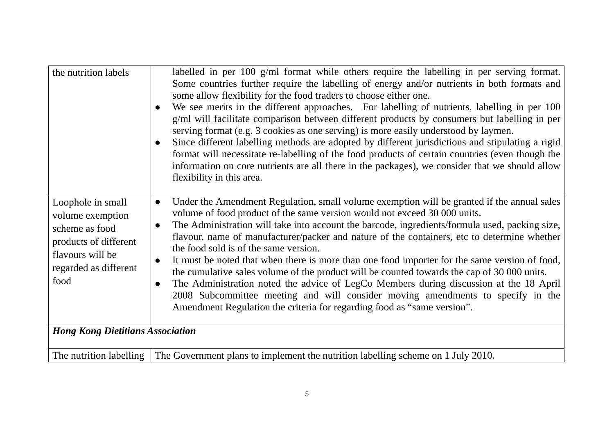| the nutrition labels                                                                                                                  | labelled in per $100 \text{ g/ml}$ format while others require the labelling in per serving format.<br>Some countries further require the labelling of energy and/or nutrients in both formats and<br>some allow flexibility for the food traders to choose either one.<br>We see merits in the different approaches. For labelling of nutrients, labelling in per 100<br>$\bullet$<br>g/ml will facilitate comparison between different products by consumers but labelling in per<br>serving format (e.g. 3 cookies as one serving) is more easily understood by laymen.<br>Since different labelling methods are adopted by different jurisdictions and stipulating a rigid<br>$\bullet$<br>format will necessitate re-labelling of the food products of certain countries (even though the<br>information on core nutrients are all there in the packages), we consider that we should allow<br>flexibility in this area. |
|---------------------------------------------------------------------------------------------------------------------------------------|-------------------------------------------------------------------------------------------------------------------------------------------------------------------------------------------------------------------------------------------------------------------------------------------------------------------------------------------------------------------------------------------------------------------------------------------------------------------------------------------------------------------------------------------------------------------------------------------------------------------------------------------------------------------------------------------------------------------------------------------------------------------------------------------------------------------------------------------------------------------------------------------------------------------------------|
| Loophole in small<br>volume exemption<br>scheme as food<br>products of different<br>flavours will be<br>regarded as different<br>food | Under the Amendment Regulation, small volume exemption will be granted if the annual sales<br>$\bullet$<br>volume of food product of the same version would not exceed 30 000 units.<br>The Administration will take into account the barcode, ingredients/formula used, packing size,<br>$\bullet$<br>flavour, name of manufacturer/packer and nature of the containers, etc to determine whether<br>the food sold is of the same version.<br>It must be noted that when there is more than one food importer for the same version of food,<br>$\bullet$<br>the cumulative sales volume of the product will be counted towards the cap of 30 000 units.<br>The Administration noted the advice of LegCo Members during discussion at the 18 April<br>$\bullet$<br>2008 Subcommittee meeting and will consider moving amendments to specify in the<br>Amendment Regulation the criteria for regarding food as "same version". |
| <b>Hong Kong Dietitians Association</b>                                                                                               |                                                                                                                                                                                                                                                                                                                                                                                                                                                                                                                                                                                                                                                                                                                                                                                                                                                                                                                               |
| The nutrition labelling                                                                                                               | The Government plans to implement the nutrition labelling scheme on 1 July 2010.                                                                                                                                                                                                                                                                                                                                                                                                                                                                                                                                                                                                                                                                                                                                                                                                                                              |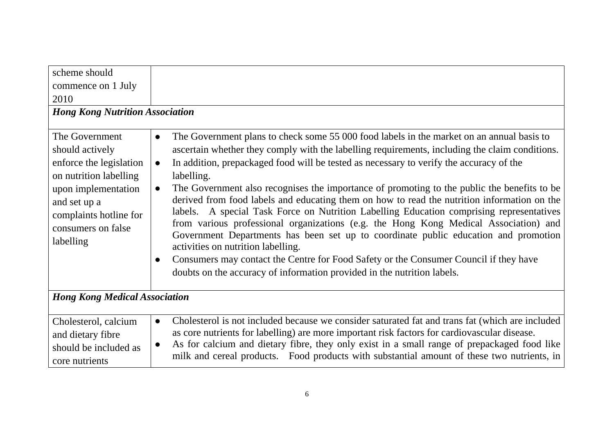| scheme should                                                                                                                                                                              |                                                                                                                                                                                                                                                                                                                                                                                                                                                                                                                                                                                                                                                                                                                                                                                                                                                                                                                                                                  |
|--------------------------------------------------------------------------------------------------------------------------------------------------------------------------------------------|------------------------------------------------------------------------------------------------------------------------------------------------------------------------------------------------------------------------------------------------------------------------------------------------------------------------------------------------------------------------------------------------------------------------------------------------------------------------------------------------------------------------------------------------------------------------------------------------------------------------------------------------------------------------------------------------------------------------------------------------------------------------------------------------------------------------------------------------------------------------------------------------------------------------------------------------------------------|
| commence on 1 July                                                                                                                                                                         |                                                                                                                                                                                                                                                                                                                                                                                                                                                                                                                                                                                                                                                                                                                                                                                                                                                                                                                                                                  |
| 2010                                                                                                                                                                                       |                                                                                                                                                                                                                                                                                                                                                                                                                                                                                                                                                                                                                                                                                                                                                                                                                                                                                                                                                                  |
| <b>Hong Kong Nutrition Association</b>                                                                                                                                                     |                                                                                                                                                                                                                                                                                                                                                                                                                                                                                                                                                                                                                                                                                                                                                                                                                                                                                                                                                                  |
| The Government<br>should actively<br>enforce the legislation<br>on nutrition labelling<br>upon implementation<br>and set up a<br>complaints hotline for<br>consumers on false<br>labelling | The Government plans to check some 55 000 food labels in the market on an annual basis to<br>$\bullet$<br>ascertain whether they comply with the labelling requirements, including the claim conditions.<br>In addition, prepackaged food will be tested as necessary to verify the accuracy of the<br>$\bullet$<br>labelling.<br>The Government also recognises the importance of promoting to the public the benefits to be<br>$\bullet$<br>derived from food labels and educating them on how to read the nutrition information on the<br>labels. A special Task Force on Nutrition Labelling Education comprising representatives<br>from various professional organizations (e.g. the Hong Kong Medical Association) and<br>Government Departments has been set up to coordinate public education and promotion<br>activities on nutrition labelling.<br>Consumers may contact the Centre for Food Safety or the Consumer Council if they have<br>$\bullet$ |
| <b>Hong Kong Medical Association</b>                                                                                                                                                       | doubts on the accuracy of information provided in the nutrition labels.                                                                                                                                                                                                                                                                                                                                                                                                                                                                                                                                                                                                                                                                                                                                                                                                                                                                                          |
|                                                                                                                                                                                            |                                                                                                                                                                                                                                                                                                                                                                                                                                                                                                                                                                                                                                                                                                                                                                                                                                                                                                                                                                  |
| Cholesterol, calcium<br>and dietary fibre<br>should be included as<br>core nutrients                                                                                                       | Cholesterol is not included because we consider saturated fat and trans fat (which are included<br>$\bullet$<br>as core nutrients for labelling) are more important risk factors for cardiovascular disease.<br>As for calcium and dietary fibre, they only exist in a small range of prepackaged food like<br>milk and cereal products. Food products with substantial amount of these two nutrients, in                                                                                                                                                                                                                                                                                                                                                                                                                                                                                                                                                        |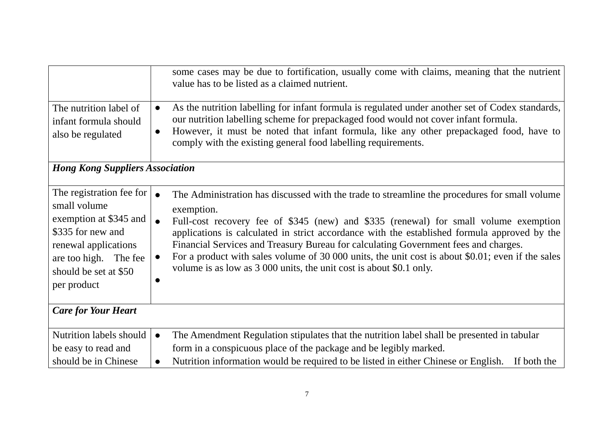| The nutrition label of<br>infant formula should<br>also be regulated                                                                                                             | some cases may be due to fortification, usually come with claims, meaning that the nutrient<br>value has to be listed as a claimed nutrient.<br>As the nutrition labelling for infant formula is regulated under another set of Codex standards,<br>$\bullet$<br>our nutrition labelling scheme for prepackaged food would not cover infant formula.<br>However, it must be noted that infant formula, like any other prepackaged food, have to<br>$\bullet$<br>comply with the existing general food labelling requirements.                                                                    |
|----------------------------------------------------------------------------------------------------------------------------------------------------------------------------------|--------------------------------------------------------------------------------------------------------------------------------------------------------------------------------------------------------------------------------------------------------------------------------------------------------------------------------------------------------------------------------------------------------------------------------------------------------------------------------------------------------------------------------------------------------------------------------------------------|
| <b>Hong Kong Suppliers Association</b>                                                                                                                                           |                                                                                                                                                                                                                                                                                                                                                                                                                                                                                                                                                                                                  |
|                                                                                                                                                                                  |                                                                                                                                                                                                                                                                                                                                                                                                                                                                                                                                                                                                  |
| The registration fee for<br>small volume<br>exemption at \$345 and<br>\$335 for new and<br>renewal applications<br>are too high. The fee<br>should be set at \$50<br>per product | $\bullet$<br>The Administration has discussed with the trade to streamline the procedures for small volume<br>exemption.<br>Full-cost recovery fee of \$345 (new) and \$335 (renewal) for small volume exemption<br>$\bullet$<br>applications is calculated in strict accordance with the established formula approved by the<br>Financial Services and Treasury Bureau for calculating Government fees and charges.<br>For a product with sales volume of 30 000 units, the unit cost is about \$0.01; even if the sales<br>volume is as low as 3 000 units, the unit cost is about \$0.1 only. |
| <b>Care for Your Heart</b>                                                                                                                                                       |                                                                                                                                                                                                                                                                                                                                                                                                                                                                                                                                                                                                  |
| <b>Nutrition labels should</b>                                                                                                                                                   | The Amendment Regulation stipulates that the nutrition label shall be presented in tabular<br>$\bullet$                                                                                                                                                                                                                                                                                                                                                                                                                                                                                          |
| be easy to read and                                                                                                                                                              | form in a conspicuous place of the package and be legibly marked.                                                                                                                                                                                                                                                                                                                                                                                                                                                                                                                                |
| should be in Chinese                                                                                                                                                             | Nutrition information would be required to be listed in either Chinese or English.<br>If both the                                                                                                                                                                                                                                                                                                                                                                                                                                                                                                |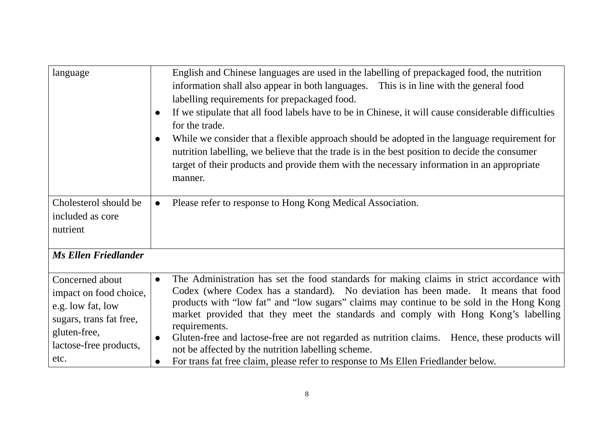| language                                                                                                                                    | English and Chinese languages are used in the labelling of prepackaged food, the nutrition<br>information shall also appear in both languages. This is in line with the general food<br>labelling requirements for prepackaged food.<br>If we stipulate that all food labels have to be in Chinese, it will cause considerable difficulties<br>$\bullet$<br>for the trade.<br>While we consider that a flexible approach should be adopted in the language requirement for<br>$\bullet$<br>nutrition labelling, we believe that the trade is in the best position to decide the consumer<br>target of their products and provide them with the necessary information in an appropriate<br>manner. |
|---------------------------------------------------------------------------------------------------------------------------------------------|---------------------------------------------------------------------------------------------------------------------------------------------------------------------------------------------------------------------------------------------------------------------------------------------------------------------------------------------------------------------------------------------------------------------------------------------------------------------------------------------------------------------------------------------------------------------------------------------------------------------------------------------------------------------------------------------------|
| Cholesterol should be<br>included as core<br>nutrient                                                                                       | Please refer to response to Hong Kong Medical Association.<br>$\bullet$                                                                                                                                                                                                                                                                                                                                                                                                                                                                                                                                                                                                                           |
| <b>Ms Ellen Friedlander</b>                                                                                                                 |                                                                                                                                                                                                                                                                                                                                                                                                                                                                                                                                                                                                                                                                                                   |
| Concerned about<br>impact on food choice,<br>e.g. low fat, low<br>sugars, trans fat free,<br>gluten-free,<br>lactose-free products,<br>etc. | The Administration has set the food standards for making claims in strict accordance with<br>$\bullet$<br>Codex (where Codex has a standard). No deviation has been made. It means that food<br>products with "low fat" and "low sugars" claims may continue to be sold in the Hong Kong<br>market provided that they meet the standards and comply with Hong Kong's labelling<br>requirements.<br>Gluten-free and lactose-free are not regarded as nutrition claims. Hence, these products will<br>$\bullet$<br>not be affected by the nutrition labelling scheme.<br>For trans fat free claim, please refer to response to Ms Ellen Friedlander below.<br>$\bullet$                             |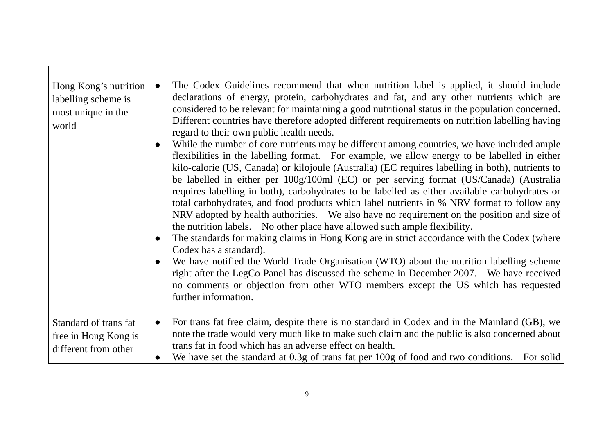| Hong Kong's nutrition<br>labelling scheme is<br>most unique in the<br>world | The Codex Guidelines recommend that when nutrition label is applied, it should include<br>$\bullet$<br>declarations of energy, protein, carbohydrates and fat, and any other nutrients which are<br>considered to be relevant for maintaining a good nutritional status in the population concerned.<br>Different countries have therefore adopted different requirements on nutrition labelling having<br>regard to their own public health needs.<br>While the number of core nutrients may be different among countries, we have included ample<br>flexibilities in the labelling format. For example, we allow energy to be labelled in either<br>kilo-calorie (US, Canada) or kilojoule (Australia) (EC requires labelling in both), nutrients to<br>be labelled in either per 100g/100ml (EC) or per serving format (US/Canada) (Australia<br>requires labelling in both), carbohydrates to be labelled as either available carbohydrates or<br>total carbohydrates, and food products which label nutrients in % NRV format to follow any<br>NRV adopted by health authorities. We also have no requirement on the position and size of<br>the nutrition labels. No other place have allowed such ample flexibility.<br>The standards for making claims in Hong Kong are in strict accordance with the Codex (where<br>$\bullet$<br>Codex has a standard).<br>We have notified the World Trade Organisation (WTO) about the nutrition labelling scheme<br>right after the LegCo Panel has discussed the scheme in December 2007. We have received<br>no comments or objection from other WTO members except the US which has requested<br>further information. |
|-----------------------------------------------------------------------------|-----------------------------------------------------------------------------------------------------------------------------------------------------------------------------------------------------------------------------------------------------------------------------------------------------------------------------------------------------------------------------------------------------------------------------------------------------------------------------------------------------------------------------------------------------------------------------------------------------------------------------------------------------------------------------------------------------------------------------------------------------------------------------------------------------------------------------------------------------------------------------------------------------------------------------------------------------------------------------------------------------------------------------------------------------------------------------------------------------------------------------------------------------------------------------------------------------------------------------------------------------------------------------------------------------------------------------------------------------------------------------------------------------------------------------------------------------------------------------------------------------------------------------------------------------------------------------------------------------------------------------------------------------------------------|
| Standard of trans fat<br>free in Hong Kong is<br>different from other       | For trans fat free claim, despite there is no standard in Codex and in the Mainland (GB), we<br>$\bullet$<br>note the trade would very much like to make such claim and the public is also concerned about<br>trans fat in food which has an adverse effect on health.<br>We have set the standard at 0.3g of trans fat per 100g of food and two conditions. For solid                                                                                                                                                                                                                                                                                                                                                                                                                                                                                                                                                                                                                                                                                                                                                                                                                                                                                                                                                                                                                                                                                                                                                                                                                                                                                                |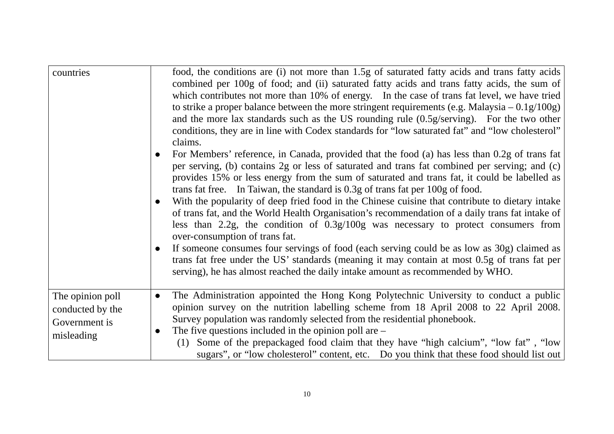| countries                                                           | food, the conditions are (i) not more than 1.5g of saturated fatty acids and trans fatty acids<br>combined per 100g of food; and (ii) saturated fatty acids and trans fatty acids, the sum of<br>which contributes not more than 10% of energy. In the case of trans fat level, we have tried<br>to strike a proper balance between the more stringent requirements (e.g. Malaysia $-0.1g/100g$ )<br>and the more lax standards such as the US rounding rule $(0.5g/\text{serving})$ . For the two other<br>conditions, they are in line with Codex standards for "low saturated fat" and "low cholesterol"<br>claims.<br>For Members' reference, in Canada, provided that the food (a) has less than 0.2g of trans fat<br>$\bullet$<br>per serving, (b) contains 2g or less of saturated and trans fat combined per serving; and (c)<br>provides 15% or less energy from the sum of saturated and trans fat, it could be labelled as<br>trans fat free. In Taiwan, the standard is 0.3g of trans fat per 100g of food.<br>With the popularity of deep fried food in the Chinese cuisine that contribute to dietary intake<br>$\bullet$<br>of trans fat, and the World Health Organisation's recommendation of a daily trans fat intake of<br>less than 2.2g, the condition of $0.3g/100g$ was necessary to protect consumers from<br>over-consumption of trans fat.<br>If someone consumes four servings of food (each serving could be as low as 30g) claimed as<br>$\bullet$<br>trans fat free under the US' standards (meaning it may contain at most 0.5g of trans fat per<br>serving), he has almost reached the daily intake amount as recommended by WHO. |
|---------------------------------------------------------------------|-------------------------------------------------------------------------------------------------------------------------------------------------------------------------------------------------------------------------------------------------------------------------------------------------------------------------------------------------------------------------------------------------------------------------------------------------------------------------------------------------------------------------------------------------------------------------------------------------------------------------------------------------------------------------------------------------------------------------------------------------------------------------------------------------------------------------------------------------------------------------------------------------------------------------------------------------------------------------------------------------------------------------------------------------------------------------------------------------------------------------------------------------------------------------------------------------------------------------------------------------------------------------------------------------------------------------------------------------------------------------------------------------------------------------------------------------------------------------------------------------------------------------------------------------------------------------------------------------------------------------------------------------------------------|
| The opinion poll<br>conducted by the<br>Government is<br>misleading | The Administration appointed the Hong Kong Polytechnic University to conduct a public<br>$\bullet$<br>opinion survey on the nutrition labelling scheme from 18 April 2008 to 22 April 2008.<br>Survey population was randomly selected from the residential phonebook.<br>The five questions included in the opinion poll are $-$<br>(1) Some of the prepackaged food claim that they have "high calcium", "low fat", "low<br>sugars", or "low cholesterol" content, etc. Do you think that these food should list out                                                                                                                                                                                                                                                                                                                                                                                                                                                                                                                                                                                                                                                                                                                                                                                                                                                                                                                                                                                                                                                                                                                                            |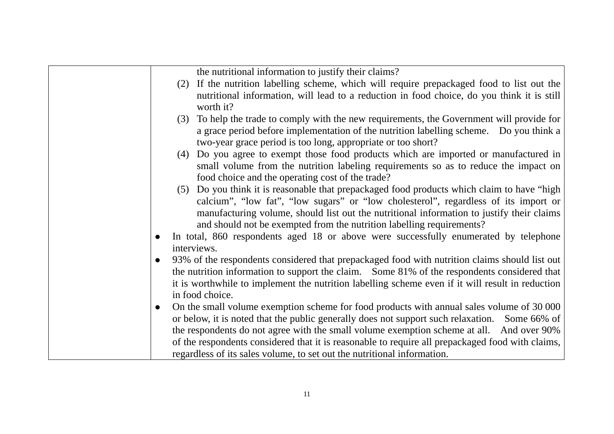the nutritional information to justify their claims?

- (2) If the nutrition labelling scheme, which will require prepackaged food to list out the nutritional information, will lead to a reduction in food choice, do you think it is still worth it?
- (3) To help the trade to comply with the new requirements, the Government will provide for a grace period before implementation of the nutrition labelling scheme. Do you think a two-year grace period is too long, appropriate or too short?
- (4) Do you agree to exempt those food products which are imported or manufactured in small volume from the nutrition labeling requirements so as to reduce the impact on food choice and the operating cost of the trade?
- (5) Do you think it is reasonable that prepackaged food products which claim to have "high calcium", "low fat", "low sugars" or "low cholesterol", regardless of its import or manufacturing volume, should list out the nutritional information to justify their claims and should not be exempted from the nutrition labelling requirements?
- $\bullet$  In total, 860 respondents aged 18 or above were successfully enumerated by telephone interviews.
- $\bullet$  93% of the respondents considered that prepackaged food with nutrition claims should list out the nutrition information to support the claim. Some 81% of the respondents considered that it is worthwhile to implement the nutrition labelling scheme even if it will result in reduction in food choice.
- $\bullet$  On the small volume exemption scheme for food products with annual sales volume of 30 000 or below, it is noted that the public generally does not support such relaxation. Some 66% of the respondents do not agree with the small volume exemption scheme at all. And over 90% of the respondents considered that it is reasonable to require all prepackaged food with claims, regardless of its sales volume, to set out the nutritional information.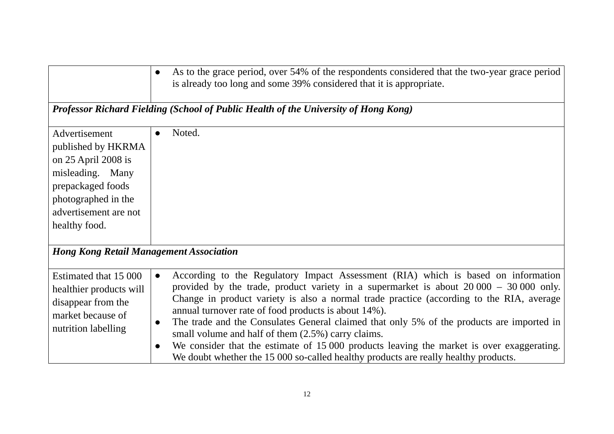|                                                                                                                                                                      | As to the grace period, over 54% of the respondents considered that the two-year grace period<br>is already too long and some 39% considered that it is appropriate.                                                                                                                                                                                                                                                                                                                                                                                                                                                                                                                                          |
|----------------------------------------------------------------------------------------------------------------------------------------------------------------------|---------------------------------------------------------------------------------------------------------------------------------------------------------------------------------------------------------------------------------------------------------------------------------------------------------------------------------------------------------------------------------------------------------------------------------------------------------------------------------------------------------------------------------------------------------------------------------------------------------------------------------------------------------------------------------------------------------------|
|                                                                                                                                                                      | Professor Richard Fielding (School of Public Health of the University of Hong Kong)                                                                                                                                                                                                                                                                                                                                                                                                                                                                                                                                                                                                                           |
| Advertisement<br>published by HKRMA<br>on 25 April 2008 is<br>misleading. Many<br>prepackaged foods<br>photographed in the<br>advertisement are not<br>healthy food. | Noted.                                                                                                                                                                                                                                                                                                                                                                                                                                                                                                                                                                                                                                                                                                        |
| <b>Hong Kong Retail Management Association</b>                                                                                                                       |                                                                                                                                                                                                                                                                                                                                                                                                                                                                                                                                                                                                                                                                                                               |
| Estimated that 15 000<br>healthier products will<br>disappear from the<br>market because of<br>nutrition labelling                                                   | According to the Regulatory Impact Assessment (RIA) which is based on information<br>$\bullet$<br>provided by the trade, product variety in a supermarket is about $20000 - 30000$ only.<br>Change in product variety is also a normal trade practice (according to the RIA, average<br>annual turnover rate of food products is about 14%).<br>The trade and the Consulates General claimed that only 5% of the products are imported in<br>$\bullet$<br>small volume and half of them (2.5%) carry claims.<br>We consider that the estimate of 15 000 products leaving the market is over exaggerating.<br>$\bullet$<br>We doubt whether the 15 000 so-called healthy products are really healthy products. |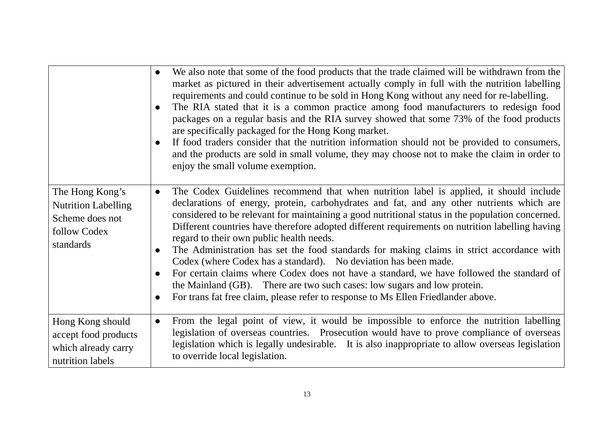|                                                                                               | We also note that some of the food products that the trade claimed will be withdrawn from the<br>$\bullet$<br>market as pictured in their advertisement actually comply in full with the nutrition labelling<br>requirements and could continue to be sold in Hong Kong without any need for re-labelling.<br>The RIA stated that it is a common practice among food manufacturers to redesign food<br>$\bullet$<br>packages on a regular basis and the RIA survey showed that some 73% of the food products<br>are specifically packaged for the Hong Kong market.<br>If food traders consider that the nutrition information should not be provided to consumers,<br>$\bullet$<br>and the products are sold in small volume, they may choose not to make the claim in order to<br>enjoy the small volume exemption.                                                                                       |
|-----------------------------------------------------------------------------------------------|-------------------------------------------------------------------------------------------------------------------------------------------------------------------------------------------------------------------------------------------------------------------------------------------------------------------------------------------------------------------------------------------------------------------------------------------------------------------------------------------------------------------------------------------------------------------------------------------------------------------------------------------------------------------------------------------------------------------------------------------------------------------------------------------------------------------------------------------------------------------------------------------------------------|
| The Hong Kong's<br><b>Nutrition Labelling</b><br>Scheme does not<br>follow Codex<br>standards | The Codex Guidelines recommend that when nutrition label is applied, it should include<br>$\bullet$<br>declarations of energy, protein, carbohydrates and fat, and any other nutrients which are<br>considered to be relevant for maintaining a good nutritional status in the population concerned.<br>Different countries have therefore adopted different requirements on nutrition labelling having<br>regard to their own public health needs.<br>The Administration has set the food standards for making claims in strict accordance with<br>$\bullet$<br>Codex (where Codex has a standard). No deviation has been made.<br>For certain claims where Codex does not have a standard, we have followed the standard of<br>the Mainland (GB). There are two such cases: low sugars and low protein.<br>For trans fat free claim, please refer to response to Ms Ellen Friedlander above.<br>$\bullet$ |
| Hong Kong should<br>accept food products<br>which already carry<br>nutrition labels           | From the legal point of view, it would be impossible to enforce the nutrition labelling<br>$\bullet$<br>legislation of overseas countries. Prosecution would have to prove compliance of overseas<br>legislation which is legally undesirable. It is also inappropriate to allow overseas legislation<br>to override local legislation.                                                                                                                                                                                                                                                                                                                                                                                                                                                                                                                                                                     |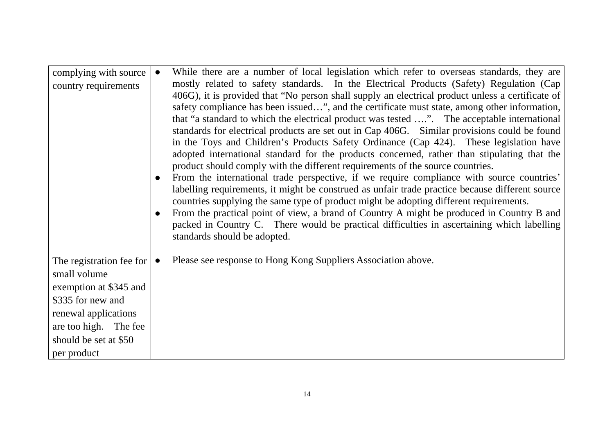| complying with source<br>country requirements                                                                                                                                    | While there are a number of local legislation which refer to overseas standards, they are<br>$\bullet$<br>mostly related to safety standards. In the Electrical Products (Safety) Regulation (Cap<br>406G), it is provided that "No person shall supply an electrical product unless a certificate of<br>safety compliance has been issued", and the certificate must state, among other information,<br>that "a standard to which the electrical product was tested ". The acceptable international<br>standards for electrical products are set out in Cap 406G. Similar provisions could be found<br>in the Toys and Children's Products Safety Ordinance (Cap 424). These legislation have<br>adopted international standard for the products concerned, rather than stipulating that the<br>product should comply with the different requirements of the source countries.<br>From the international trade perspective, if we require compliance with source countries'<br>$\bullet$<br>labelling requirements, it might be construed as unfair trade practice because different source<br>countries supplying the same type of product might be adopting different requirements.<br>From the practical point of view, a brand of Country A might be produced in Country B and<br>$\bullet$<br>packed in Country C. There would be practical difficulties in ascertaining which labelling<br>standards should be adopted. |
|----------------------------------------------------------------------------------------------------------------------------------------------------------------------------------|--------------------------------------------------------------------------------------------------------------------------------------------------------------------------------------------------------------------------------------------------------------------------------------------------------------------------------------------------------------------------------------------------------------------------------------------------------------------------------------------------------------------------------------------------------------------------------------------------------------------------------------------------------------------------------------------------------------------------------------------------------------------------------------------------------------------------------------------------------------------------------------------------------------------------------------------------------------------------------------------------------------------------------------------------------------------------------------------------------------------------------------------------------------------------------------------------------------------------------------------------------------------------------------------------------------------------------------------------------------------------------------------------------------------------------|
| The registration fee for<br>small volume<br>exemption at \$345 and<br>\$335 for new and<br>renewal applications<br>are too high. The fee<br>should be set at \$50<br>per product | Please see response to Hong Kong Suppliers Association above.                                                                                                                                                                                                                                                                                                                                                                                                                                                                                                                                                                                                                                                                                                                                                                                                                                                                                                                                                                                                                                                                                                                                                                                                                                                                                                                                                                  |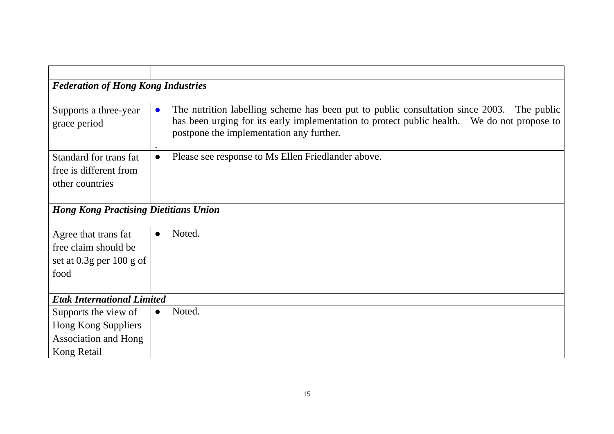| <b>Federation of Hong Kong Industries</b>    |                                                                                                                                         |
|----------------------------------------------|-----------------------------------------------------------------------------------------------------------------------------------------|
|                                              |                                                                                                                                         |
| Supports a three-year                        | The nutrition labelling scheme has been put to public consultation since 2003. The public<br>$\bullet$                                  |
| grace period                                 | has been urging for its early implementation to protect public health. We do not propose to<br>postpone the implementation any further. |
| Standard for trans fat                       | Please see response to Ms Ellen Friedlander above.                                                                                      |
| free is different from                       |                                                                                                                                         |
| other countries                              |                                                                                                                                         |
|                                              |                                                                                                                                         |
| <b>Hong Kong Practising Dietitians Union</b> |                                                                                                                                         |
|                                              |                                                                                                                                         |
| Agree that trans fat                         | Noted.<br>$\bullet$                                                                                                                     |
| free claim should be                         |                                                                                                                                         |
| set at $0.3g$ per 100 g of                   |                                                                                                                                         |
| food                                         |                                                                                                                                         |
|                                              |                                                                                                                                         |
| <b>Etak International Limited</b>            |                                                                                                                                         |
| Supports the view of                         | Noted.                                                                                                                                  |
| Hong Kong Suppliers                          |                                                                                                                                         |
| <b>Association and Hong</b>                  |                                                                                                                                         |
| Kong Retail                                  |                                                                                                                                         |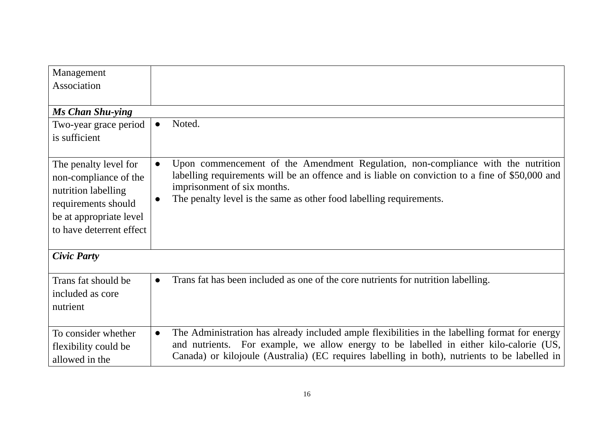| Management                                     |                                                                                                                                                                                                  |  |
|------------------------------------------------|--------------------------------------------------------------------------------------------------------------------------------------------------------------------------------------------------|--|
| Association                                    |                                                                                                                                                                                                  |  |
|                                                |                                                                                                                                                                                                  |  |
| <b>Ms Chan Shu-ying</b>                        |                                                                                                                                                                                                  |  |
| Two-year grace period                          | Noted.<br>$\bullet$                                                                                                                                                                              |  |
| is sufficient                                  |                                                                                                                                                                                                  |  |
| The penalty level for<br>non-compliance of the | Upon commencement of the Amendment Regulation, non-compliance with the nutrition<br>$\bullet$<br>labelling requirements will be an offence and is liable on conviction to a fine of \$50,000 and |  |
| nutrition labelling                            | imprisonment of six months.                                                                                                                                                                      |  |
| requirements should                            | The penalty level is the same as other food labelling requirements.                                                                                                                              |  |
| be at appropriate level                        |                                                                                                                                                                                                  |  |
| to have deterrent effect                       |                                                                                                                                                                                                  |  |
| <b>Civic Party</b>                             |                                                                                                                                                                                                  |  |
| Trans fat should be                            | Trans fat has been included as one of the core nutrients for nutrition labelling.<br>$\bullet$                                                                                                   |  |
| included as core                               |                                                                                                                                                                                                  |  |
| nutrient                                       |                                                                                                                                                                                                  |  |
|                                                |                                                                                                                                                                                                  |  |
| To consider whether                            | The Administration has already included ample flexibilities in the labelling format for energy<br>$\bullet$                                                                                      |  |
| flexibility could be                           | and nutrients. For example, we allow energy to be labelled in either kilo-calorie (US,                                                                                                           |  |
| allowed in the                                 | Canada) or kilojoule (Australia) (EC requires labelling in both), nutrients to be labelled in                                                                                                    |  |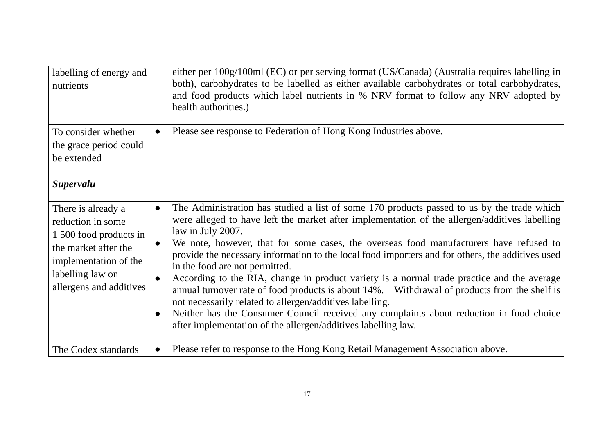| labelling of energy and<br>nutrients                                                                                                                              | either per 100g/100ml (EC) or per serving format (US/Canada) (Australia requires labelling in<br>both), carbohydrates to be labelled as either available carbohydrates or total carbohydrates,<br>and food products which label nutrients in % NRV format to follow any NRV adopted by<br>health authorities.)                                                                                                                                                                                                                                                                                                                                                                                                                                                                                                                                                                                                             |
|-------------------------------------------------------------------------------------------------------------------------------------------------------------------|----------------------------------------------------------------------------------------------------------------------------------------------------------------------------------------------------------------------------------------------------------------------------------------------------------------------------------------------------------------------------------------------------------------------------------------------------------------------------------------------------------------------------------------------------------------------------------------------------------------------------------------------------------------------------------------------------------------------------------------------------------------------------------------------------------------------------------------------------------------------------------------------------------------------------|
| To consider whether<br>the grace period could<br>be extended                                                                                                      | Please see response to Federation of Hong Kong Industries above.                                                                                                                                                                                                                                                                                                                                                                                                                                                                                                                                                                                                                                                                                                                                                                                                                                                           |
| <b>Supervalu</b>                                                                                                                                                  |                                                                                                                                                                                                                                                                                                                                                                                                                                                                                                                                                                                                                                                                                                                                                                                                                                                                                                                            |
| There is already a<br>reduction in some<br>1 500 food products in<br>the market after the<br>implementation of the<br>labelling law on<br>allergens and additives | The Administration has studied a list of some 170 products passed to us by the trade which<br>$\bullet$<br>were alleged to have left the market after implementation of the allergen/additives labelling<br>law in July 2007.<br>We note, however, that for some cases, the overseas food manufacturers have refused to<br>$\bullet$<br>provide the necessary information to the local food importers and for others, the additives used<br>in the food are not permitted.<br>According to the RIA, change in product variety is a normal trade practice and the average<br>$\bullet$<br>annual turnover rate of food products is about 14%. Withdrawal of products from the shelf is<br>not necessarily related to allergen/additives labelling.<br>Neither has the Consumer Council received any complaints about reduction in food choice<br>$\bullet$<br>after implementation of the allergen/additives labelling law. |
| The Codex standards                                                                                                                                               | Please refer to response to the Hong Kong Retail Management Association above.<br>$\bullet$                                                                                                                                                                                                                                                                                                                                                                                                                                                                                                                                                                                                                                                                                                                                                                                                                                |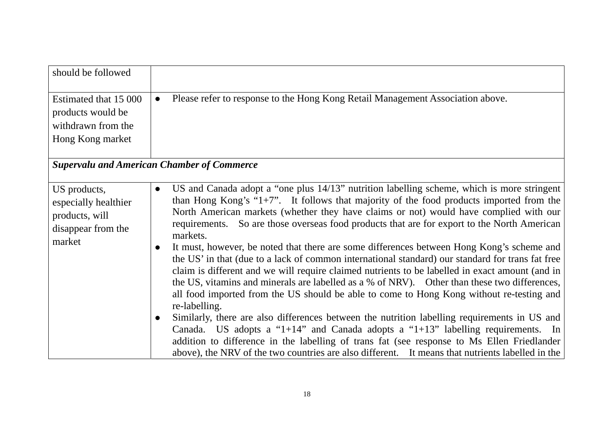| should be followed                                                                     |                                                                                                                                                                                                                                                                                                                                                                                                                                                                                                                                                                                                                                                                                                                                                                                                                                                                                                                                                                                                                                                                                                                                                                                                                                                                                                                                             |
|----------------------------------------------------------------------------------------|---------------------------------------------------------------------------------------------------------------------------------------------------------------------------------------------------------------------------------------------------------------------------------------------------------------------------------------------------------------------------------------------------------------------------------------------------------------------------------------------------------------------------------------------------------------------------------------------------------------------------------------------------------------------------------------------------------------------------------------------------------------------------------------------------------------------------------------------------------------------------------------------------------------------------------------------------------------------------------------------------------------------------------------------------------------------------------------------------------------------------------------------------------------------------------------------------------------------------------------------------------------------------------------------------------------------------------------------|
| Estimated that 15 000<br>products would be<br>withdrawn from the<br>Hong Kong market   | Please refer to response to the Hong Kong Retail Management Association above.<br>$\bullet$                                                                                                                                                                                                                                                                                                                                                                                                                                                                                                                                                                                                                                                                                                                                                                                                                                                                                                                                                                                                                                                                                                                                                                                                                                                 |
|                                                                                        | <b>Supervalu and American Chamber of Commerce</b>                                                                                                                                                                                                                                                                                                                                                                                                                                                                                                                                                                                                                                                                                                                                                                                                                                                                                                                                                                                                                                                                                                                                                                                                                                                                                           |
| US products,<br>especially healthier<br>products, will<br>disappear from the<br>market | US and Canada adopt a "one plus 14/13" nutrition labelling scheme, which is more stringent<br>$\bullet$<br>than Hong Kong's " $1+7$ ". It follows that majority of the food products imported from the<br>North American markets (whether they have claims or not) would have complied with our<br>requirements. So are those overseas food products that are for export to the North American<br>markets.<br>It must, however, be noted that there are some differences between Hong Kong's scheme and<br>$\bullet$<br>the US' in that (due to a lack of common international standard) our standard for trans fat free<br>claim is different and we will require claimed nutrients to be labelled in exact amount (and in<br>the US, vitamins and minerals are labelled as a % of NRV). Other than these two differences,<br>all food imported from the US should be able to come to Hong Kong without re-testing and<br>re-labelling.<br>Similarly, there are also differences between the nutrition labelling requirements in US and<br>$\bullet$<br>Canada. US adopts a "1+14" and Canada adopts a "1+13" labelling requirements. In<br>addition to difference in the labelling of trans fat (see response to Ms Ellen Friedlander<br>above), the NRV of the two countries are also different. It means that nutrients labelled in the |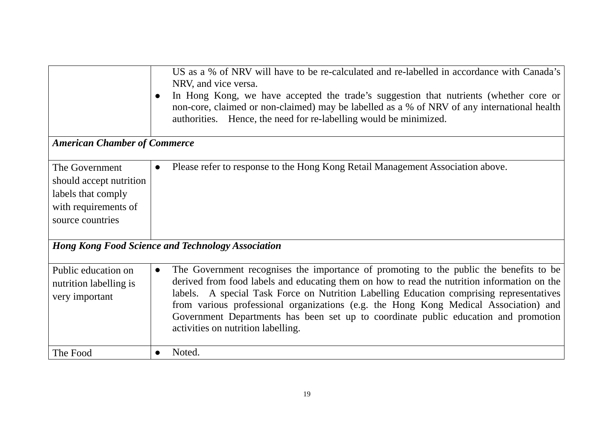| <b>American Chamber of Commerce</b>                                                                         | US as a % of NRV will have to be re-calculated and re-labelled in accordance with Canada's<br>NRV, and vice versa.<br>In Hong Kong, we have accepted the trade's suggestion that nutrients (whether core or<br>non-core, claimed or non-claimed) may be labelled as a % of NRV of any international health<br>authorities. Hence, the need for re-labelling would be minimized.                                                                                                                                     |
|-------------------------------------------------------------------------------------------------------------|---------------------------------------------------------------------------------------------------------------------------------------------------------------------------------------------------------------------------------------------------------------------------------------------------------------------------------------------------------------------------------------------------------------------------------------------------------------------------------------------------------------------|
| The Government<br>should accept nutrition<br>labels that comply<br>with requirements of<br>source countries | Please refer to response to the Hong Kong Retail Management Association above.                                                                                                                                                                                                                                                                                                                                                                                                                                      |
| <b>Hong Kong Food Science and Technology Association</b>                                                    |                                                                                                                                                                                                                                                                                                                                                                                                                                                                                                                     |
| Public education on<br>nutrition labelling is<br>very important                                             | The Government recognises the importance of promoting to the public the benefits to be<br>$\bullet$<br>derived from food labels and educating them on how to read the nutrition information on the<br>labels. A special Task Force on Nutrition Labelling Education comprising representatives<br>from various professional organizations (e.g. the Hong Kong Medical Association) and<br>Government Departments has been set up to coordinate public education and promotion<br>activities on nutrition labelling. |
| The Food                                                                                                    | Noted.                                                                                                                                                                                                                                                                                                                                                                                                                                                                                                              |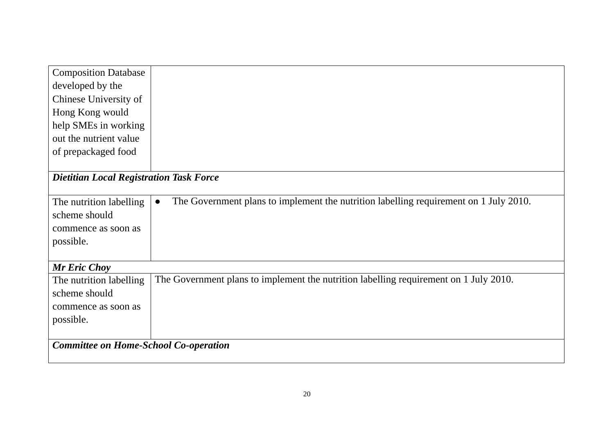| <b>Composition Database</b>                    |                                                                                                    |
|------------------------------------------------|----------------------------------------------------------------------------------------------------|
| developed by the                               |                                                                                                    |
| Chinese University of                          |                                                                                                    |
| Hong Kong would                                |                                                                                                    |
| help SMEs in working                           |                                                                                                    |
| out the nutrient value                         |                                                                                                    |
| of prepackaged food                            |                                                                                                    |
|                                                |                                                                                                    |
| <b>Dietitian Local Registration Task Force</b> |                                                                                                    |
|                                                |                                                                                                    |
| The nutrition labelling                        | The Government plans to implement the nutrition labelling requirement on 1 July 2010.<br>$\bullet$ |
| scheme should                                  |                                                                                                    |
| commence as soon as                            |                                                                                                    |
| possible.                                      |                                                                                                    |
|                                                |                                                                                                    |
| <b>Mr Eric Choy</b>                            |                                                                                                    |
| The nutrition labelling                        | The Government plans to implement the nutrition labelling requirement on 1 July 2010.              |
| scheme should                                  |                                                                                                    |
| commence as soon as                            |                                                                                                    |
| possible.                                      |                                                                                                    |
|                                                |                                                                                                    |
| <b>Committee on Home-School Co-operation</b>   |                                                                                                    |
|                                                |                                                                                                    |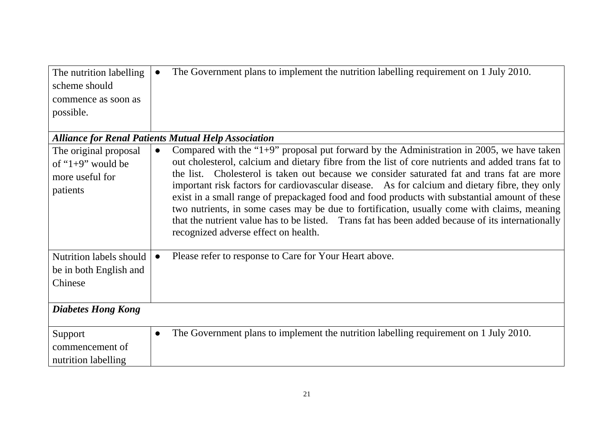| The nutrition labelling<br>scheme should<br>commence as soon as<br>possible. | The Government plans to implement the nutrition labelling requirement on 1 July 2010.<br>$\bullet$                                                                                                                                                                                                                                                                                                                                          |
|------------------------------------------------------------------------------|---------------------------------------------------------------------------------------------------------------------------------------------------------------------------------------------------------------------------------------------------------------------------------------------------------------------------------------------------------------------------------------------------------------------------------------------|
| The original proposal                                                        | <b>Alliance for Renal Patients Mutual Help Association</b><br>Compared with the " $1+9$ " proposal put forward by the Administration in 2005, we have taken                                                                                                                                                                                                                                                                                 |
| of " $1+9$ " would be                                                        | out cholesterol, calcium and dietary fibre from the list of core nutrients and added trans fat to                                                                                                                                                                                                                                                                                                                                           |
| more useful for                                                              | the list. Cholesterol is taken out because we consider saturated fat and trans fat are more                                                                                                                                                                                                                                                                                                                                                 |
| patients                                                                     | important risk factors for cardiovascular disease. As for calcium and dietary fibre, they only<br>exist in a small range of prepackaged food and food products with substantial amount of these<br>two nutrients, in some cases may be due to fortification, usually come with claims, meaning<br>that the nutrient value has to be listed. Trans fat has been added because of its internationally<br>recognized adverse effect on health. |
| <b>Nutrition labels should</b>                                               | Please refer to response to Care for Your Heart above.                                                                                                                                                                                                                                                                                                                                                                                      |
| be in both English and                                                       |                                                                                                                                                                                                                                                                                                                                                                                                                                             |
| Chinese                                                                      |                                                                                                                                                                                                                                                                                                                                                                                                                                             |
| <b>Diabetes Hong Kong</b>                                                    |                                                                                                                                                                                                                                                                                                                                                                                                                                             |
| Support                                                                      | The Government plans to implement the nutrition labelling requirement on 1 July 2010.<br>$\bullet$                                                                                                                                                                                                                                                                                                                                          |
| commencement of                                                              |                                                                                                                                                                                                                                                                                                                                                                                                                                             |
| nutrition labelling                                                          |                                                                                                                                                                                                                                                                                                                                                                                                                                             |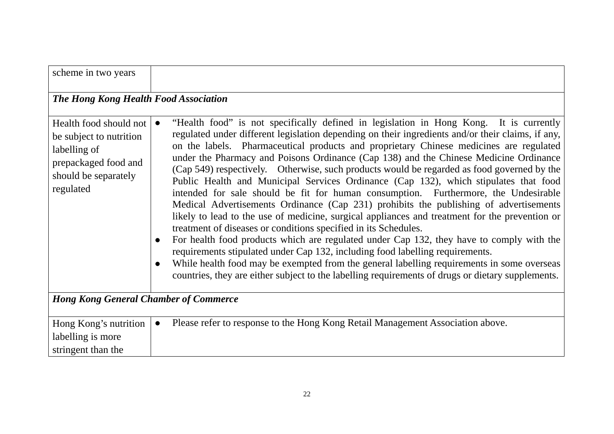| scheme in two years                                                                                                            |                                                                                                                                                                                                                                                                                                                                                                                                                                                                                                                                                                                                                                                                                                                                                                                                                                                                                                                                                                                                                                                                                                                                                                                                                                                                                                                        |
|--------------------------------------------------------------------------------------------------------------------------------|------------------------------------------------------------------------------------------------------------------------------------------------------------------------------------------------------------------------------------------------------------------------------------------------------------------------------------------------------------------------------------------------------------------------------------------------------------------------------------------------------------------------------------------------------------------------------------------------------------------------------------------------------------------------------------------------------------------------------------------------------------------------------------------------------------------------------------------------------------------------------------------------------------------------------------------------------------------------------------------------------------------------------------------------------------------------------------------------------------------------------------------------------------------------------------------------------------------------------------------------------------------------------------------------------------------------|
| The Hong Kong Health Food Association                                                                                          |                                                                                                                                                                                                                                                                                                                                                                                                                                                                                                                                                                                                                                                                                                                                                                                                                                                                                                                                                                                                                                                                                                                                                                                                                                                                                                                        |
| Health food should not<br>be subject to nutrition<br>labelling of<br>prepackaged food and<br>should be separately<br>regulated | "Health food" is not specifically defined in legislation in Hong Kong. It is currently<br>regulated under different legislation depending on their ingredients and/or their claims, if any,<br>on the labels. Pharmaceutical products and proprietary Chinese medicines are regulated<br>under the Pharmacy and Poisons Ordinance (Cap 138) and the Chinese Medicine Ordinance<br>(Cap 549) respectively. Otherwise, such products would be regarded as food governed by the<br>Public Health and Municipal Services Ordinance (Cap 132), which stipulates that food<br>intended for sale should be fit for human consumption. Furthermore, the Undesirable<br>Medical Advertisements Ordinance (Cap 231) prohibits the publishing of advertisements<br>likely to lead to the use of medicine, surgical appliances and treatment for the prevention or<br>treatment of diseases or conditions specified in its Schedules.<br>For health food products which are regulated under Cap 132, they have to comply with the<br>$\bullet$<br>requirements stipulated under Cap 132, including food labelling requirements.<br>While health food may be exempted from the general labelling requirements in some overseas<br>countries, they are either subject to the labelling requirements of drugs or dietary supplements. |
| <b>Hong Kong General Chamber of Commerce</b>                                                                                   |                                                                                                                                                                                                                                                                                                                                                                                                                                                                                                                                                                                                                                                                                                                                                                                                                                                                                                                                                                                                                                                                                                                                                                                                                                                                                                                        |
| Hong Kong's nutrition<br>labelling is more<br>stringent than the                                                               | Please refer to response to the Hong Kong Retail Management Association above.<br>$\bullet$                                                                                                                                                                                                                                                                                                                                                                                                                                                                                                                                                                                                                                                                                                                                                                                                                                                                                                                                                                                                                                                                                                                                                                                                                            |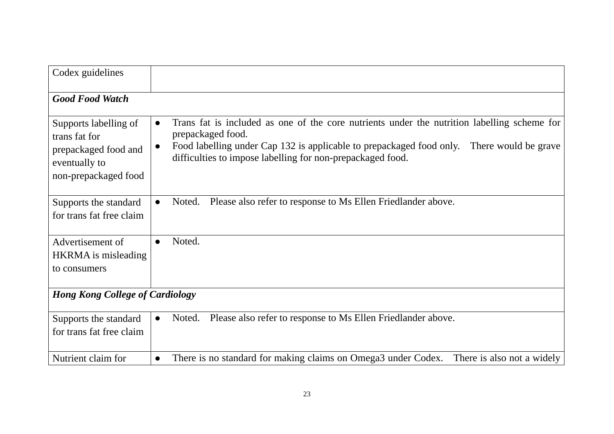| Codex guidelines                                                                                        |                                                                                                                                                                                                                                                                                                       |
|---------------------------------------------------------------------------------------------------------|-------------------------------------------------------------------------------------------------------------------------------------------------------------------------------------------------------------------------------------------------------------------------------------------------------|
| <b>Good Food Watch</b>                                                                                  |                                                                                                                                                                                                                                                                                                       |
| Supports labelling of<br>trans fat for<br>prepackaged food and<br>eventually to<br>non-prepackaged food | Trans fat is included as one of the core nutrients under the nutrition labelling scheme for<br>$\bullet$<br>prepackaged food.<br>Food labelling under Cap 132 is applicable to prepackaged food only. There would be grave<br>$\bullet$<br>difficulties to impose labelling for non-prepackaged food. |
| Supports the standard<br>for trans fat free claim                                                       | Please also refer to response to Ms Ellen Friedlander above.<br>Noted.<br>$\bullet$                                                                                                                                                                                                                   |
| Advertisement of<br>HKRMA is misleading<br>to consumers                                                 | Noted.<br>$\bullet$                                                                                                                                                                                                                                                                                   |
| <b>Hong Kong College of Cardiology</b>                                                                  |                                                                                                                                                                                                                                                                                                       |
| Supports the standard<br>for trans fat free claim                                                       | Please also refer to response to Ms Ellen Friedlander above.<br>Noted.<br>$\bullet$                                                                                                                                                                                                                   |
| Nutrient claim for                                                                                      | There is no standard for making claims on Omega3 under Codex.<br>There is also not a widely<br>$\bullet$                                                                                                                                                                                              |